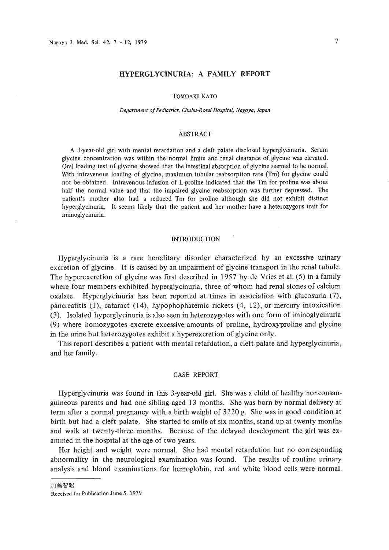# **HYPERGLYCINURIA: A FAMILY REPORT**

# TOMOAKI KATO

#### *Department ofPediatrics, Chubu-Rosai Hospital, Nagoya, Japan*

# ABSTRACT

A 3-year-old girl with mental retardation and a cleft palate disclosed hyperglycinuria. Serum glycine concentration was within the normal limits and renal clearance of glycine was elevated. Oral loading test of glycine showed that the intestinal absorption of glycine seemed to be nonnal. With intravenous loading of glycine, maximum tubular reabsorption rate (Tm) for glycine could not be obtained. Intravenous infusion of L-proline indicated that the Tm for proline was about half the normal value and that the impaired glycine reabsorption was further depressed. The patient's mother also had a reduced Tm for proline although she did not exhibit distinct hyperglycinuria. It seems likely that the patient and her mother have a heterozygous trait for iminoglycinuria.

#### **INTRODUCTION**

Hyperglycinuria is a rare hereditary disorder characterized by an excessive urinary excretion of glycine. It is caused by an impairment of glycine transport in the renal tubule. The hyperexcretion of glycine was first described in 1957 by de Vries et al. (5) in a family where four members exhibited hyperglycinuria, three of whom had renal stones of calcium oxalate. Hyperglycinuria has been reported at times in association with glucosuria (7), pancreatitis (I), cataract (14), hypophophatemic rickets (4, 12), or mercury intoxication (3). Isolated hyperglycinuria is also seen in heterozygotes with one form of iminoglycinuria (9) where homozygotes excrete excessive amounts of proline, hydroxyproline and glycine in the urine but heterozygotes exhibit a hyperexcretion of glycine only.

This report describes a patient with mental retardation, a cleft palate and hyperglycinuria, and her family.

# CASE REPORT

Hyperglycinuria was found in this 3-year-old girl. She was a child of healthy nonconsanguineous parents and had one sibling aged 13 months. She was born by normal delivery at term after a normal pregnancy with a birth weight of 3220 g. She was in good condition at birth but had a cleft palate. She started to smile at six months, stand up at twenty months and walk at twenty-three months. Because of the delayed development the girl was examined in the hospital at the age of two years.

Her height and weight were normal. She had mental retardation but no corresponding abnormality in the neurological examination was found. The results of routine urinary analysis and blood examinations for hemoglobin, red and white blood cells were normal.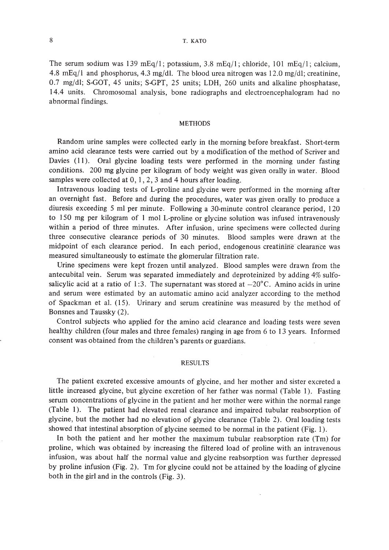# 8 T. KATO

The serum sodium was 139 mEq/1; potassium, 3.8 mEq/1; chloride, 101 mEq/1; calcium, 4.8 mEq/l and phosphorus, 4.3 mg/dl. The blood urea nitrogen was 12.0 mg/dl; creatinine, 0.7 mg/dl; S-GOT, 45 units; S-GPT, 25 units; LDH, 260 units and alkaline phosphatase, 14.4 units. Chromosomal analysis, bone radiographs and electroencephalogram had no abnormal findings.

### METHODS

Random urine samples were collected early in the morning before breakfast. Short-term amino acid clearance tests were carried out by a modification of the method of Scriver and Davies (11). Oral glycine loading tests were performed in the morning under fasting conditions. 200 mg glycine per kilogram of body weight was given orally in water. Blood samples were collected at  $0, 1, 2, 3$  and 4 hours after loading.

Intravenous loading tests of L-proline and glycine were performed in the morning after an overnight fast. Before and during the procedures, water was given orally to produce a diuresis exceeding 5 ml per minute. Following a 30-minute control clearance period, 120 to 150 mg per kilogram of I mol L-proline or glycine solution was infused intravenously within a period of three minutes. After infusion, urine specimens were collected during three consecutive clearance periods of 30 minutes. Blood samples were drawn at the midpoint of each clearance period. In each period, endogenous creatinine clearance was measured simultaneously to estimate the glomerular filtration rate.

Urine specimens were kept frozen until analyzed. Blood samples were drawn from the antecubital vein. Serum was separated immediately and deproteinized by adding 4% sulfosalicylic acid at a ratio of 1:3. The supernatant was stored at  $-20^{\circ}$ C. Amino acids in urine and serum were estimated by an automatic amino acid analyzer according to the method of Spackman et al. (15). Urinary and serum creatinine was measured by the method of Bonsnes and Taussky (2).

Control subjects who applied for the amino acid clearance and loading tests were seven healthy children (four males and three females) ranging in age from 6 to 13 years. Informed consent was obtained from the children's parents or guardians.

#### RESULTS

The patient excreted excessive amounts of glycine, and her mother and sister excreted a little increased glycine, but glycine excretion of her father was normal (Table 1). Fasting serum concentrations of glycine in the patient and her mother were within the normal range (Table 1). The patient had elevated renal clearance and impaired tubular reabsorption of glycine, but the mother had no elevation of glycine clearance (Table 2). Oral loading tests showed that intestinal absorption of glycine seemed to be normal in the patient (Fig. 1).

In both the patient and her mother the maximum tubular reabsorption rate (Tm) for proline, which was obtained by increasing the filtered load of proline with an intravenous infusion, was about half the normal value and glycine reabsorption was further depressed by proline infusion (Fig. 2). Tm for glycine could not be attained by the loading of glycine both in the girl and in the controls (Fig. 3).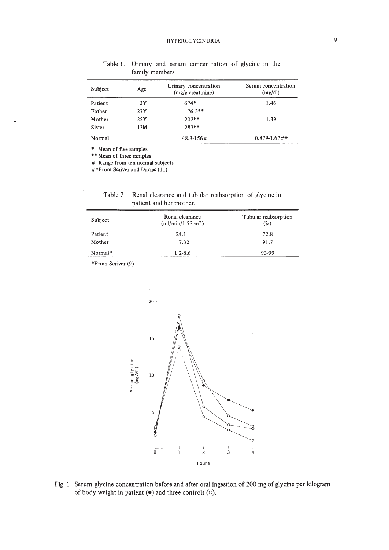| Subject | Age | Urinary concentration<br>$(mg/g)$ creatinine) | Serum concentration<br>(mg/dl) |
|---------|-----|-----------------------------------------------|--------------------------------|
| Patient | 3Y  | $674*$                                        | 1.46                           |
| Father  | 27Y | $76.3**$                                      |                                |
| Mother  | 25Y | $202**$                                       | 1.39                           |
| Sister  | 13M | $287**$                                       |                                |
| Normal  |     | $48.3 - 156#$                                 | $0.879 - 1.67$ ##              |
|         |     |                                               |                                |

Table 1. Urinary and serum concentration of glycine in the family members

\* Mean of five samples

\*\* Mean of three samples

# Range from ten normal subjects

##From Scriver and Davies (11)

| Table 2. Renal clearance and tubular reabsorption of glycine in |
|-----------------------------------------------------------------|
| patient and her mother.                                         |

| Subject | Renal clearance<br>(ml/min/1.73 m <sup>2</sup> ) | Tubular reabsorption<br>(%) |
|---------|--------------------------------------------------|-----------------------------|
| Patient | 24.1                                             | 72.8                        |
| Mother  | 7.32                                             | 91.7                        |
| Normal* | $1.2 - 8.6$                                      | 93-99                       |

\*From Scriver (9)



Fig. 1. Serum glycine concentration before and after oral ingestion of 200 mg of glycine per kilogram of body weight in patient **(e)** and three controls (0).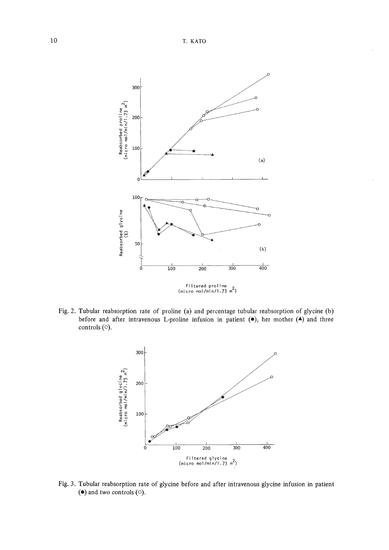

Fig. 2. Tubular reabsorption rate of proline (a) and percentage tubular reabsorption of glycine (b) before and after intravenous L-proline infusion in patient  $(•)$ , her mother  $(•)$  and three controls (0).



Fig. 3. Tubular reabsorption rate of glycine before and after intravenous glycine infusion in patient  $\bullet$  and two controls  $\circ$ .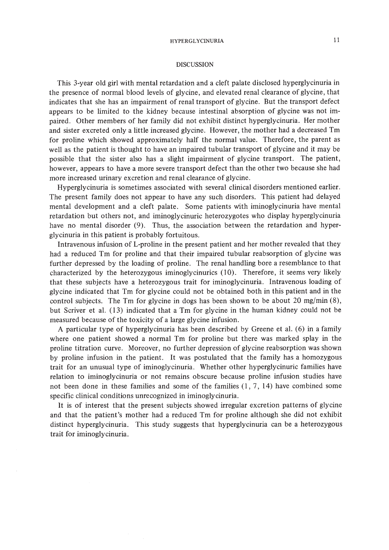#### HYPERGLYCINURIA

### DISCUSSION

This 3-year old girl with mental retardation and a cleft palate disclosed hyperglycinuria in the presence of normal blood levels of glycine, and elevated renal clearance of glycine, that indicates that she has an impairment of renal transport of glycine. But the transport defect appears to be limited to the kidney because intestinal absorption of glycine was not impaired. Other members of her family did not exhibit distinct hyperglycinuria. Her mother and sister excreted only a little increased glycine. However, the mother had a decreased Tm for proline which showed approximately half the normal value. Therefore, the parent as well as the patient is thought to have an impaired tubular transport of glycine and it may be possible that the sister also has a slight impairment of glycine transport. The patient, however, appears to have a more severe transport defect than the other two because she had more increased urinary excretion and renal clearance of glycine.

Hyperglycinuria is sometimes associated with several clinical disorders mentioned earlier. The present family does not appear to have any such disorders. This patient had delayed mental development and a cleft palate. Some patients with iminoglycinuria have mental retardation but others not, and iminoglycinuric heterozygotes who display hyperglycinuria have no mental disorder (9). Thus, the association between the retardation and hyperglycinuria in this patient is probably fortuitous.

Intravenous infusion of L-proline in the present patient and her mother revealed that they had a reduced Tm for proline and that their impaired tubular reabsorption of glycine was further depressed by the loading of proline. The renal handling bore a resemblance to that characterized by the heterozygous iminoglycinurics (10). Therefore, it seems very likely that these subjects have a heterozygous trait for iminoglycinuria. Intravenous loading of glycine indicated that Tm for glycine could not be obtained both in this patient and in the control subjects. The Tm for glycine in dogs has been shown to be about 20 mg/min (8), but Scriver et al. (13) indicated that a Tm for glycine in the human kidney could not be measured because of the toxicity of a large glycine infusion.

A particular type of hyperglycinuria has been described by Greene et al. (6) in a family where one patient showed a normal Tm for proline but there was marked splay in the proline titration curve. Moreover, no further depression of glycine reabsorption was shown by proline infusion in the patient. It was postulated that the family has a homozygous trait for an unusual type of iminoglycinuria. Whether other hyperglycinuric families have relation to iminoglycinuria or not remains obscure because proline infusion studies have not been done in these families and some of the families (1, 7,14) have combined some specific clinical conditions unrecognized in iminoglycinuria.

It is of interest that the present subjects showed irregular excretion patterns of glycine and that the patient's mother had a reduced Tm for proline although she did not exhibit distinct hyperglycinuria. This study suggests that hyperglycinuria can be a heterozygous trait for iminoglycinuria.